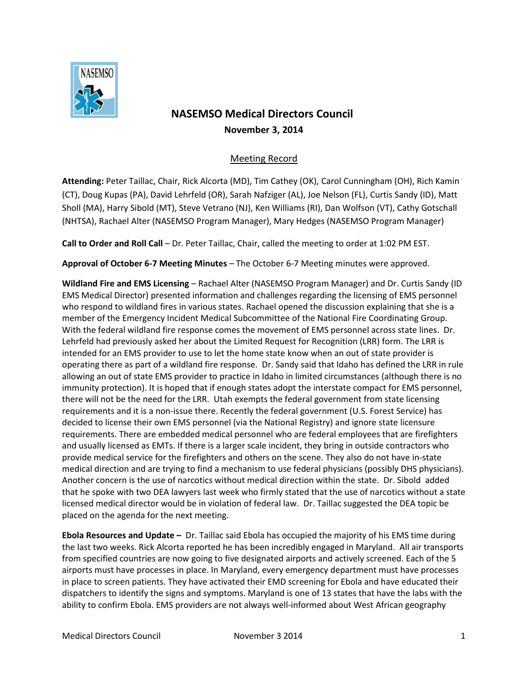

## **NASEMSO Medical Directors Council November 3, 2014**

## Meeting Record

**Attending:** Peter Taillac, Chair, Rick Alcorta (MD), Tim Cathey (OK), Carol Cunningham (OH), Rich Kamin (CT), Doug Kupas (PA), David Lehrfeld (OR), Sarah Nafziger (AL), Joe Nelson (FL), Curtis Sandy (ID), Matt Sholl (MA), Harry Sibold (MT), Steve Vetrano (NJ), Ken Williams (RI), Dan Wolfson (VT), Cathy Gotschall (NHTSA), Rachael Alter (NASEMSO Program Manager), Mary Hedges (NASEMSO Program Manager)

**Call to Order and Roll Call** – Dr. Peter Taillac, Chair, called the meeting to order at 1:02 PM EST.

**Approval of October 6-7 Meeting Minutes** – The October 6-7 Meeting minutes were approved.

**Wildland Fire and EMS Licensing** – Rachael Alter (NASEMSO Program Manager) and Dr. Curtis Sandy (ID EMS Medical Director) presented information and challenges regarding the licensing of EMS personnel who respond to wildland fires in various states. Rachael opened the discussion explaining that she is a member of the Emergency Incident Medical Subcommittee of the National Fire Coordinating Group. With the federal wildland fire response comes the movement of EMS personnel across state lines. Dr. Lehrfeld had previously asked her about the Limited Request for Recognition (LRR) form. The LRR is intended for an EMS provider to use to let the home state know when an out of state provider is operating there as part of a wildland fire response. Dr. Sandy said that Idaho has defined the LRR in rule allowing an out of state EMS provider to practice in Idaho in limited circumstances (although there is no immunity protection). It is hoped that if enough states adopt the interstate compact for EMS personnel, there will not be the need for the LRR. Utah exempts the federal government from state licensing requirements and it is a non-issue there. Recently the federal government (U.S. Forest Service) has decided to license their own EMS personnel (via the National Registry) and ignore state licensure requirements. There are embedded medical personnel who are federal employees that are firefighters and usually licensed as EMTs. If there is a larger scale incident, they bring in outside contractors who provide medical service for the firefighters and others on the scene. They also do not have in-state medical direction and are trying to find a mechanism to use federal physicians (possibly DHS physicians). Another concern is the use of narcotics without medical direction within the state. Dr. Sibold added that he spoke with two DEA lawyers last week who firmly stated that the use of narcotics without a state licensed medical director would be in violation of federal law. Dr. Taillac suggested the DEA topic be placed on the agenda for the next meeting.

**Ebola Resources and Update –** Dr. Taillac said Ebola has occupied the majority of his EMS time during the last two weeks. Rick Alcorta reported he has been incredibly engaged in Maryland. All air transports from specified countries are now going to five designated airports and actively screened. Each of the 5 airports must have processes in place. In Maryland, every emergency department must have processes in place to screen patients. They have activated their EMD screening for Ebola and have educated their dispatchers to identify the signs and symptoms. Maryland is one of 13 states that have the labs with the ability to confirm Ebola. EMS providers are not always well-informed about West African geography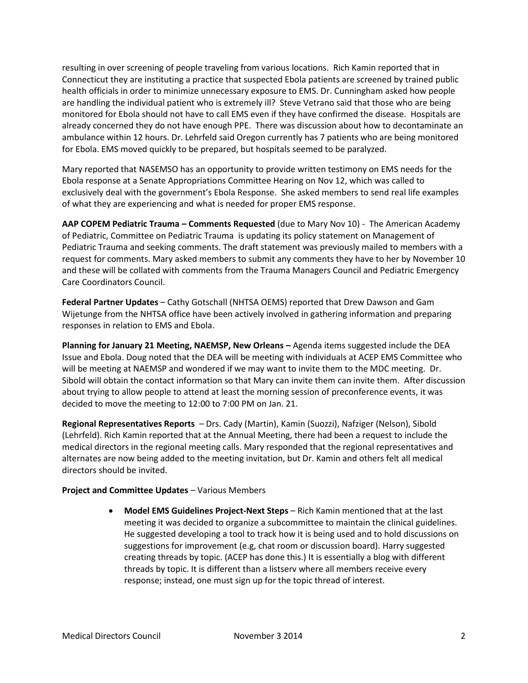resulting in over screening of people traveling from various locations. Rich Kamin reported that in Connecticut they are instituting a practice that suspected Ebola patients are screened by trained public health officials in order to minimize unnecessary exposure to EMS. Dr. Cunningham asked how people are handling the individual patient who is extremely ill? Steve Vetrano said that those who are being monitored for Ebola should not have to call EMS even if they have confirmed the disease. Hospitals are already concerned they do not have enough PPE. There was discussion about how to decontaminate an ambulance within 12 hours. Dr. Lehrfeld said Oregon currently has 7 patients who are being monitored for Ebola. EMS moved quickly to be prepared, but hospitals seemed to be paralyzed.

Mary reported that NASEMSO has an opportunity to provide written testimony on EMS needs for the Ebola response at a Senate Appropriations Committee Hearing on Nov 12, which was called to exclusively deal with the government's Ebola Response. She asked members to send real life examples of what they are experiencing and what is needed for proper EMS response.

**AAP COPEM Pediatric Trauma – Comments Requested** (due to Mary Nov 10) - The American Academy of Pediatric, Committee on Pediatric Trauma is updating its policy statement on Management of Pediatric Trauma and seeking comments. The draft statement was previously mailed to members with a request for comments. Mary asked members to submit any comments they have to her by November 10 and these will be collated with comments from the Trauma Managers Council and Pediatric Emergency Care Coordinators Council.

**Federal Partner Updates** – Cathy Gotschall (NHTSA OEMS) reported that Drew Dawson and Gam Wijetunge from the NHTSA office have been actively involved in gathering information and preparing responses in relation to EMS and Ebola.

**Planning for January 21 Meeting, NAEMSP, New Orleans –** Agenda items suggested include the DEA Issue and Ebola. Doug noted that the DEA will be meeting with individuals at ACEP EMS Committee who will be meeting at NAEMSP and wondered if we may want to invite them to the MDC meeting. Dr. Sibold will obtain the contact information so that Mary can invite them can invite them. After discussion about trying to allow people to attend at least the morning session of preconference events, it was decided to move the meeting to 12:00 to 7:00 PM on Jan. 21.

**Regional Representatives Reports** – Drs. Cady (Martin), Kamin (Suozzi), Nafziger (Nelson), Sibold (Lehrfeld). Rich Kamin reported that at the Annual Meeting, there had been a request to include the medical directors in the regional meeting calls. Mary responded that the regional representatives and alternates are now being added to the meeting invitation, but Dr. Kamin and others felt all medical directors should be invited.

## **Project and Committee Updates** – Various Members

 **Model EMS Guidelines Project-Next Steps** – Rich Kamin mentioned that at the last meeting it was decided to organize a subcommittee to maintain the clinical guidelines. He suggested developing a tool to track how it is being used and to hold discussions on suggestions for improvement (e.g, chat room or discussion board). Harry suggested creating threads by topic. (ACEP has done this.) It is essentially a blog with different threads by topic. It is different than a listserv where all members receive every response; instead, one must sign up for the topic thread of interest.